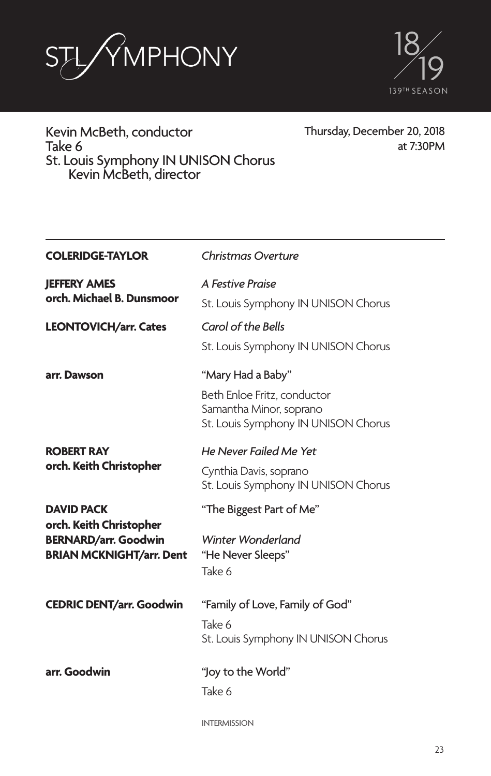



# Kevin McBeth, conductor Take 6 St. Louis Symphony IN UNISON Chorus Kevin McBeth, director

Thursday, December 20, 2018 at 7:30PM

| <b>COLERIDGE-TAYLOR</b>                          | Christmas Overture                                                                            |
|--------------------------------------------------|-----------------------------------------------------------------------------------------------|
| <b>JEFFERY AMES</b><br>orch. Michael B. Dunsmoor | A Festive Praise                                                                              |
|                                                  | St. Louis Symphony IN UNISON Chorus                                                           |
| <b>LEONTOVICH/arr. Cates</b>                     | Carol of the Bells                                                                            |
|                                                  | St. Louis Symphony IN UNISON Chorus                                                           |
| arr. Dawson                                      | "Mary Had a Baby"                                                                             |
|                                                  | Beth Enloe Fritz, conductor<br>Samantha Minor, soprano<br>St. Louis Symphony IN UNISON Chorus |
| <b>ROBERT RAY</b><br>orch. Keith Christopher     | He Never Failed Me Yet                                                                        |
|                                                  | Cynthia Davis, soprano<br>St. Louis Symphony IN UNISON Chorus                                 |
| <b>DAVID PACK</b><br>orch. Keith Christopher     | "The Biggest Part of Me"                                                                      |
| <b>BERNARD/arr. Goodwin</b>                      | Winter Wonderland                                                                             |
| <b>BRIAN MCKNIGHT/arr. Dent</b>                  | "He Never Sleeps"<br>Take 6                                                                   |
| <b>CEDRIC DENT/arr. Goodwin</b>                  | "Family of Love, Family of God"                                                               |
|                                                  | Take 6                                                                                        |
|                                                  | St. Louis Symphony IN UNISON Chorus                                                           |
| arr. Goodwin                                     | "Joy to the World"                                                                            |
|                                                  | Take 6                                                                                        |
|                                                  |                                                                                               |

INTERMISSION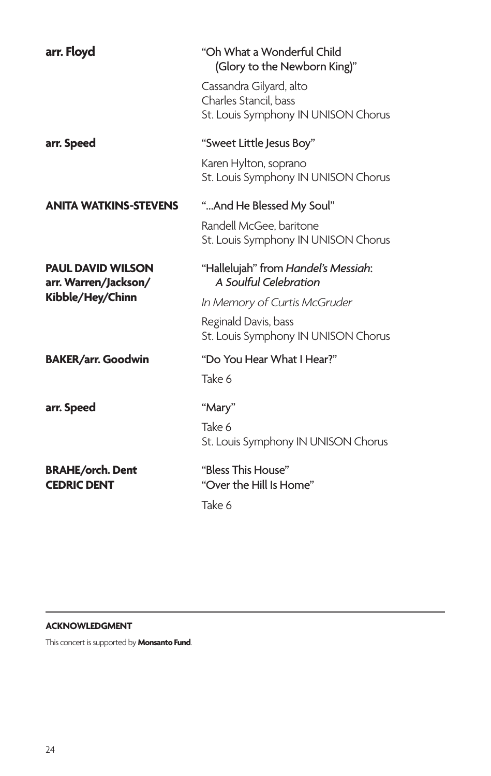| arr. Floyd                                                           | "Oh What a Wonderful Child<br>(Glory to the Newborn King)"                              |
|----------------------------------------------------------------------|-----------------------------------------------------------------------------------------|
|                                                                      | Cassandra Gilyard, alto<br>Charles Stancil, bass<br>St. Louis Symphony IN UNISON Chorus |
| arr. Speed                                                           | "Sweet Little Jesus Boy"                                                                |
|                                                                      | Karen Hylton, soprano<br>St. Louis Symphony IN UNISON Chorus                            |
| <b>ANITA WATKINS-STEVENS</b>                                         | "And He Blessed My Soul"                                                                |
|                                                                      | Randell McGee, baritone<br>St. Louis Symphony IN UNISON Chorus                          |
| <b>PAUL DAVID WILSON</b><br>arr. Warren/Jackson/<br>Kibble/Hey/Chinn | "Hallelujah" from Handel's Messiah:<br>A Soulful Celebration                            |
|                                                                      | In Memory of Curtis McGruder                                                            |
|                                                                      | Reginald Davis, bass<br>St. Louis Symphony IN UNISON Chorus                             |
| <b>BAKER/arr. Goodwin</b>                                            | "Do You Hear What I Hear?"                                                              |
|                                                                      | Take 6                                                                                  |
| arr. Speed                                                           | "Mary"                                                                                  |
|                                                                      | Take 6                                                                                  |
|                                                                      | St. Louis Symphony IN UNISON Chorus                                                     |
| <b>BRAHE/orch. Dent</b><br><b>CEDRIC DENT</b>                        | "Bless This House"<br>"Over the Hill Is Home"                                           |
|                                                                      | Take 6                                                                                  |

### **ACKNOWLEDGMENT**

This concert is supported by **Monsanto Fund**.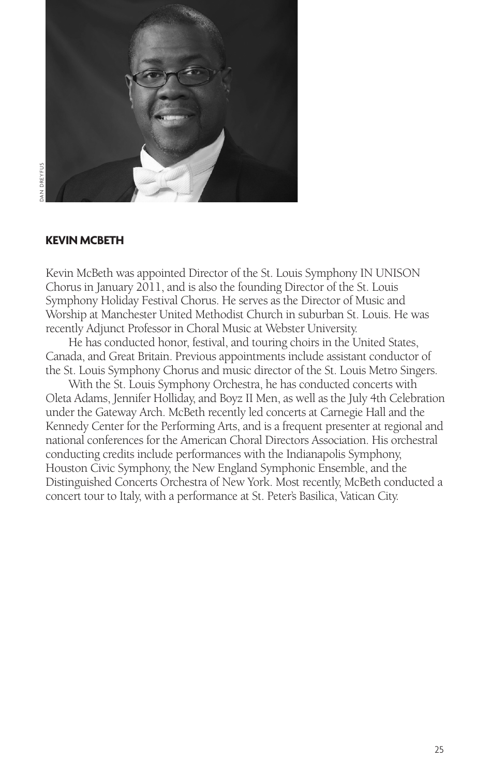

#### **KEVIN MCBETH**

Kevin McBeth was appointed Director of the St. Louis Symphony IN UNISON Chorus in January 2011, and is also the founding Director of the St. Louis Symphony Holiday Festival Chorus. He serves as the Director of Music and Worship at Manchester United Methodist Church in suburban St. Louis. He was recently Adjunct Professor in Choral Music at Webster University.

He has conducted honor, festival, and touring choirs in the United States, Canada, and Great Britain. Previous appointments include assistant conductor of the St. Louis Symphony Chorus and music director of the St. Louis Metro Singers.

With the St. Louis Symphony Orchestra, he has conducted concerts with Oleta Adams, Jennifer Holliday, and Boyz II Men, as well as the July 4th Celebration under the Gateway Arch. McBeth recently led concerts at Carnegie Hall and the Kennedy Center for the Performing Arts, and is a frequent presenter at regional and national conferences for the American Choral Directors Association. His orchestral conducting credits include performances with the Indianapolis Symphony, Houston Civic Symphony, the New England Symphonic Ensemble, and the Distinguished Concerts Orchestra of New York. Most recently, McBeth conducted a concert tour to Italy, with a performance at St. Peter's Basilica, Vatican City.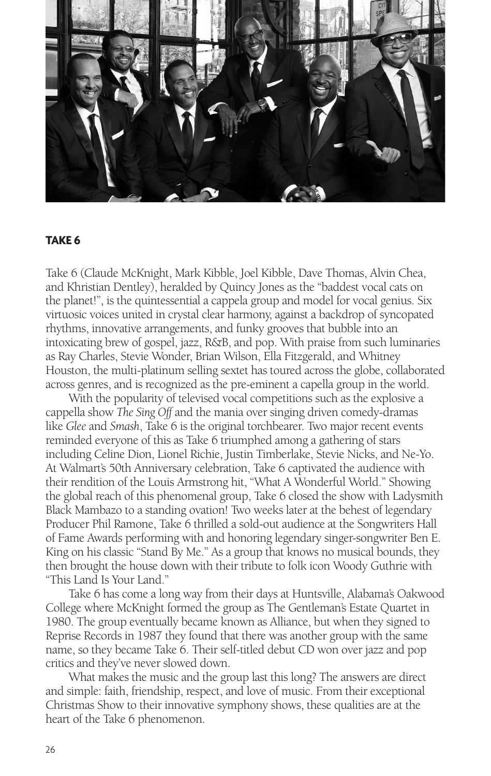

#### **TAKE 6**

Take 6 (Claude McKnight, Mark Kibble, Joel Kibble, Dave Thomas, Alvin Chea, and Khristian Dentley), heralded by Quincy Jones as the "baddest vocal cats on the planet!", is the quintessential a cappela group and model for vocal genius. Six virtuosic voices united in crystal clear harmony, against a backdrop of syncopated rhythms, innovative arrangements, and funky grooves that bubble into an intoxicating brew of gospel, jazz, R&B, and pop. With praise from such luminaries as Ray Charles, Stevie Wonder, Brian Wilson, Ella Fitzgerald, and Whitney Houston, the multi-platinum selling sextet has toured across the globe, collaborated across genres, and is recognized as the pre-eminent a capella group in the world.

With the popularity of televised vocal competitions such as the explosive a cappella show *The Sing Off* and the mania over singing driven comedy-dramas like *Glee* and *Smash*, Take 6 is the original torchbearer. Two major recent events reminded everyone of this as Take 6 triumphed among a gathering of stars including Celine Dion, Lionel Richie, Justin Timberlake, Stevie Nicks, and Ne-Yo. At Walmart's 50th Anniversary celebration, Take 6 captivated the audience with their rendition of the Louis Armstrong hit, "What A Wonderful World." Showing the global reach of this phenomenal group, Take 6 closed the show with Ladysmith Black Mambazo to a standing ovation! Two weeks later at the behest of legendary Producer Phil Ramone, Take 6 thrilled a sold-out audience at the Songwriters Hall of Fame Awards performing with and honoring legendary singer-songwriter Ben E. King on his classic "Stand By Me." As a group that knows no musical bounds, they then brought the house down with their tribute to folk icon Woody Guthrie with "This Land Is Your Land."

Take 6 has come a long way from their days at Huntsville, Alabama's Oakwood College where McKnight formed the group as The Gentleman's Estate Quartet in 1980. The group eventually became known as Alliance, but when they signed to Reprise Records in 1987 they found that there was another group with the same name, so they became Take 6. Their self-titled debut CD won over jazz and pop critics and they've never slowed down.

What makes the music and the group last this long? The answers are direct and simple: faith, friendship, respect, and love of music. From their exceptional Christmas Show to their innovative symphony shows, these qualities are at the heart of the Take 6 phenomenon.